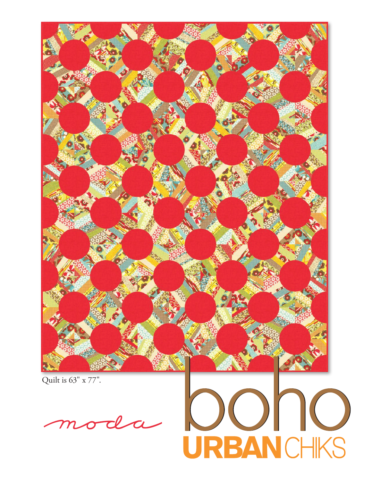

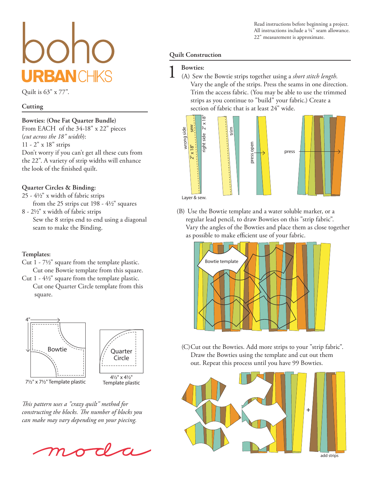# **RBANC**

Quilt is 63" x 77".

### **Cutting**

### **Bowties: (One Fat Quarter Bundle)**

From EACH of the 34-18" x 22" pieces (*cut across the 18" width*): 11 - 2" x 18" strips Don't worry if you can't get all these cuts from the 22". A variety of strip widths will enhance the look of the finished quilt.

# **Quarter Circles & Binding:**

- 25 4½" x width of fabric strips from the 25 strips cut 198 - 4½" squares
- 8 2½" x width of fabric strips Sew the 8 strips end to end using a diagonal seam to make the Binding.

# **Templates:**

- Cut 1 7½" square from the template plastic. Cut one Bowtie template from this square.
- Cut 1 4½" square from the template plastic. Cut one Quarter Circle template from this square.



*This pattern uses a "crazy quilt" method for constructing the blocks. The number of blocks you can make may vary depending on your piecing.*



Read instructions before beginning a project. All instructions include a ¼" seam allowance. 22" measurement is approximate.

# **Quilt Construction**

1 **Bowties:** (A) Sew the Bowtie strips together using a *short stitch length*. Vary the angle of the strips. Press the seams in one direction. Trim the access fabric. (You may be able to use the trimmed strips as you continue to "build" your fabric.) Create a section of fabric that is at least 24" wide.

press open

press open





Layer & sew.

(B) Use the Bowtie template and a water soluble marker, or a regular lead pencil, to draw Bowties on this "strip fabric". Vary the angles of the Bowties and place them as close together as possible to make efficient use of your fabric.



(C)Cut out the Bowties. Add more strips to your "strip fabric". Draw the Bowties using the template and cut out them out. Repeat this process until you have 99 Bowties.



add strips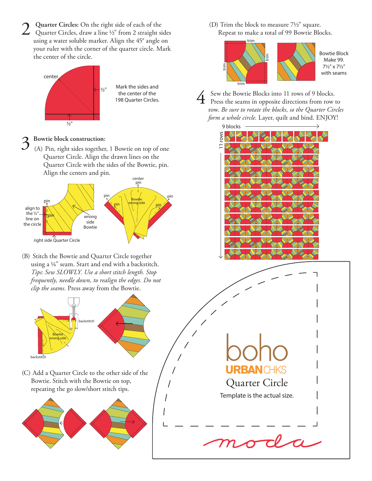2 Quarter Circles: On the right side of each of the Quarter Circles, draw a line ½" from 2 straight sides using a water soluble marker. Align the 45° angle on your ruler with the corner of the quarter circle. Mark the center of the circle.



Mark the sides and the center of the 198 Quarter Circles.

3 **Bowtie block construction:** (A) Pin, right sides together, 1 Bowtie on top of one Quarter Circle. Align the drawn lines on the Quarter Circle with the sides of the Bowtie, pin. Align the centers and pin.



(B) Stitch the Bowtie and Quarter Circle together using a ¼" seam. Start and end with a backstitch. *Tips: Sew SLOWLY. Use a short stitch length. Stop frequently, needle down, to realign the edges. Do not clip the seams.* Press away from the Bowtie.



(C) Add a Quarter Circle to the other side of the Bowtie. Stitch with the Bowtie on top, repeating the go slow/short stitch tips.



(D) Trim the block to measure 7½" square. Repeat to make a total of 99 Bowtie Blocks.





 $\overline{4}$  Sew the Bowtie Blocks into 11 rows of 9 blocks.<br>Press the seams in opposite directions from row to row. *Be sure to rotate the blocks, so the Quarter Circles form a whole circle.* Layer, quilt and bind. ENJOY!



Quarter Circle

RBAN CHKS

Template is the actual size.

 $\tau\ell$